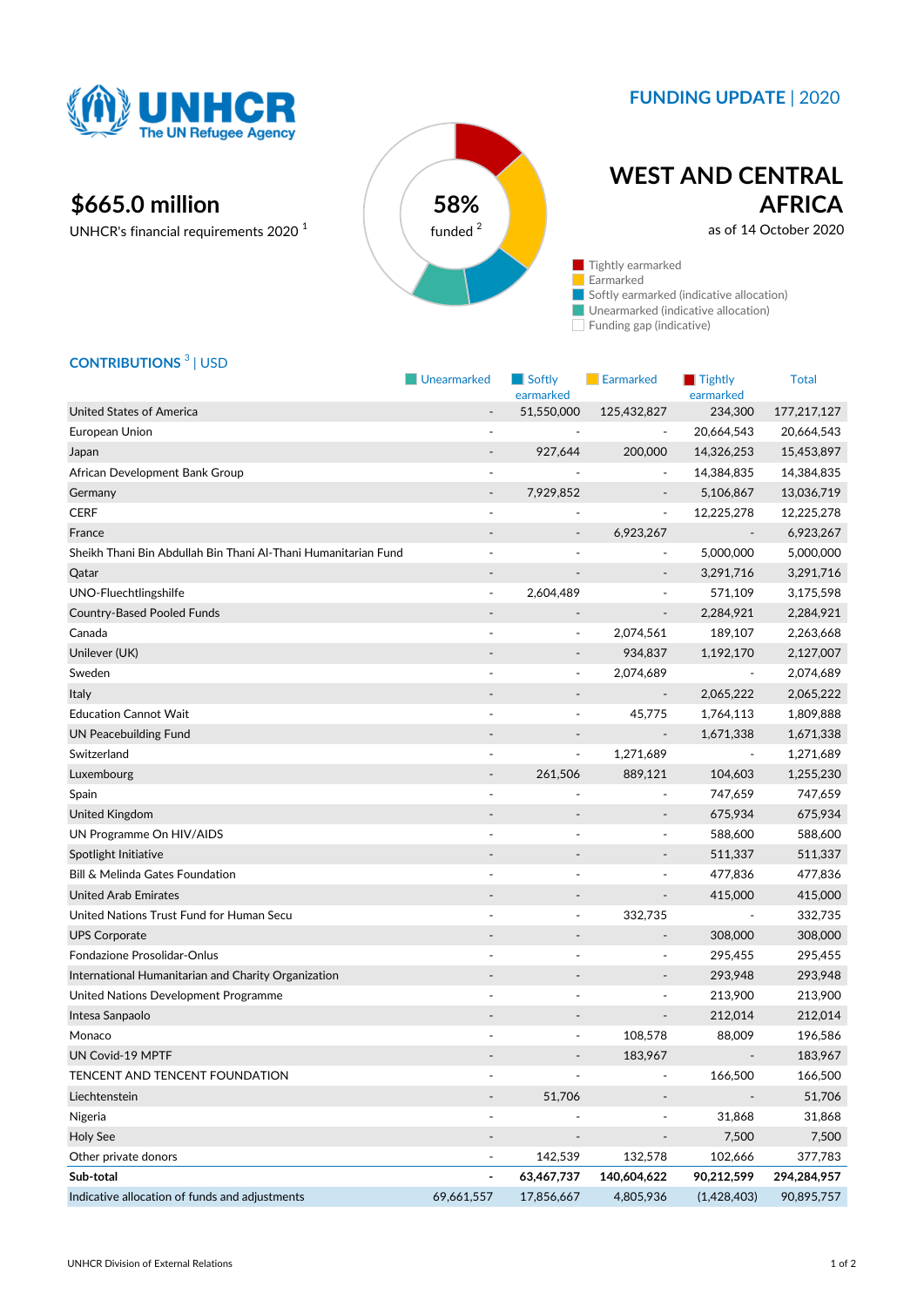

## **FUNDING UPDATE** | 2020

# **\$665.0 million 58%**

UNHCR's financial requirements 2020 <sup>1</sup>



# **WEST AND CENTRAL AFRICA**

as of 14 October 2020

Tightly earmarked Earmarked Softly earmarked (indicative allocation) **Unearmarked (indicative allocation)** 

Funding gap (indicative)

## **CONTRIBUTIONS** <sup>3</sup> | USD

|                                                                | Unearmarked                  | $\blacksquare$ Softly        | Earmarked                | $\blacksquare$ Tightly   | <b>Total</b> |
|----------------------------------------------------------------|------------------------------|------------------------------|--------------------------|--------------------------|--------------|
| <b>United States of America</b>                                | $\blacksquare$               | earmarked<br>51,550,000      | 125,432,827              | earmarked<br>234,300     | 177,217,127  |
| European Union                                                 |                              |                              | $\overline{\phantom{a}}$ | 20,664,543               | 20,664,543   |
| Japan                                                          | $\qquad \qquad \blacksquare$ | 927,644                      | 200,000                  | 14,326,253               | 15,453,897   |
| African Development Bank Group                                 | $\overline{\phantom{a}}$     |                              | $\overline{\phantom{a}}$ | 14,384,835               | 14,384,835   |
| Germany                                                        |                              | 7,929,852                    |                          | 5,106,867                | 13,036,719   |
| <b>CERF</b>                                                    |                              |                              | $\overline{\phantom{a}}$ | 12,225,278               | 12,225,278   |
| France                                                         |                              |                              | 6,923,267                |                          | 6,923,267    |
| Sheikh Thani Bin Abdullah Bin Thani Al-Thani Humanitarian Fund |                              |                              |                          | 5,000,000                | 5,000,000    |
| Qatar                                                          |                              | $\qquad \qquad \blacksquare$ | $\overline{\phantom{a}}$ | 3,291,716                | 3,291,716    |
| UNO-Fluechtlingshilfe                                          | $\blacksquare$               | 2,604,489                    | ÷,                       | 571,109                  | 3,175,598    |
| <b>Country-Based Pooled Funds</b>                              |                              |                              | $\overline{\phantom{a}}$ | 2,284,921                | 2,284,921    |
| Canada                                                         |                              | ÷,                           | 2,074,561                | 189,107                  | 2,263,668    |
| Unilever (UK)                                                  |                              |                              | 934,837                  | 1,192,170                | 2,127,007    |
| Sweden                                                         |                              | $\frac{1}{2}$                | 2,074,689                |                          | 2,074,689    |
| <b>Italy</b>                                                   |                              | $\qquad \qquad \blacksquare$ | $\overline{\phantom{a}}$ | 2,065,222                | 2,065,222    |
| <b>Education Cannot Wait</b>                                   | $\overline{\phantom{a}}$     | $\blacksquare$               | 45,775                   | 1,764,113                | 1,809,888    |
| <b>UN Peacebuilding Fund</b>                                   |                              |                              |                          | 1,671,338                | 1,671,338    |
| Switzerland                                                    |                              | ÷,                           | 1,271,689                |                          | 1,271,689    |
| Luxembourg                                                     | $\overline{\phantom{a}}$     | 261,506                      | 889,121                  | 104,603                  | 1,255,230    |
| Spain                                                          |                              |                              | $\overline{\phantom{a}}$ | 747,659                  | 747,659      |
| United Kingdom                                                 |                              |                              |                          | 675,934                  | 675,934      |
| UN Programme On HIV/AIDS                                       |                              |                              | $\overline{\phantom{a}}$ | 588,600                  | 588,600      |
| Spotlight Initiative                                           |                              |                              |                          | 511,337                  | 511,337      |
| Bill & Melinda Gates Foundation                                |                              |                              | ÷                        | 477,836                  | 477,836      |
| <b>United Arab Emirates</b>                                    |                              | $\qquad \qquad \blacksquare$ | $\overline{\phantom{a}}$ | 415,000                  | 415,000      |
| United Nations Trust Fund for Human Secu                       |                              |                              | 332,735                  | $\overline{\phantom{a}}$ | 332,735      |
| <b>UPS Corporate</b>                                           |                              |                              | $\overline{\phantom{a}}$ | 308,000                  | 308,000      |
| Fondazione Prosolidar-Onlus                                    | $\sim$                       | ä,                           | $\blacksquare$           | 295,455                  | 295,455      |
| International Humanitarian and Charity Organization            |                              |                              | $\overline{\phantom{a}}$ | 293,948                  | 293,948      |
| United Nations Development Programme                           |                              |                              | ÷,                       | 213,900                  | 213,900      |
| Intesa Sanpaolo                                                |                              |                              | $\overline{\phantom{a}}$ | 212,014                  | 212,014      |
| Monaco                                                         |                              |                              | 108,578                  | 88,009                   | 196,586      |
| UN Covid-19 MPTF                                               |                              |                              | 183,967                  |                          | 183,967      |
| TENCENT AND TENCENT FOUNDATION                                 | ÷,                           |                              | $\overline{\phantom{a}}$ | 166,500                  | 166,500      |
| Liechtenstein                                                  | $\overline{\phantom{a}}$     | 51,706                       | $\overline{\phantom{a}}$ |                          | 51,706       |
| Nigeria                                                        |                              |                              | $\overline{a}$           | 31,868                   | 31,868       |
| Holy See                                                       |                              |                              |                          | 7,500                    | 7,500        |
| Other private donors                                           | $\overline{\phantom{a}}$     | 142,539                      | 132,578                  | 102,666                  | 377,783      |
| Sub-total                                                      |                              | 63,467,737                   | 140,604,622              | 90,212,599               | 294,284,957  |
| Indicative allocation of funds and adjustments                 | 69,661,557                   | 17,856,667                   | 4,805,936                | (1,428,403)              | 90,895,757   |